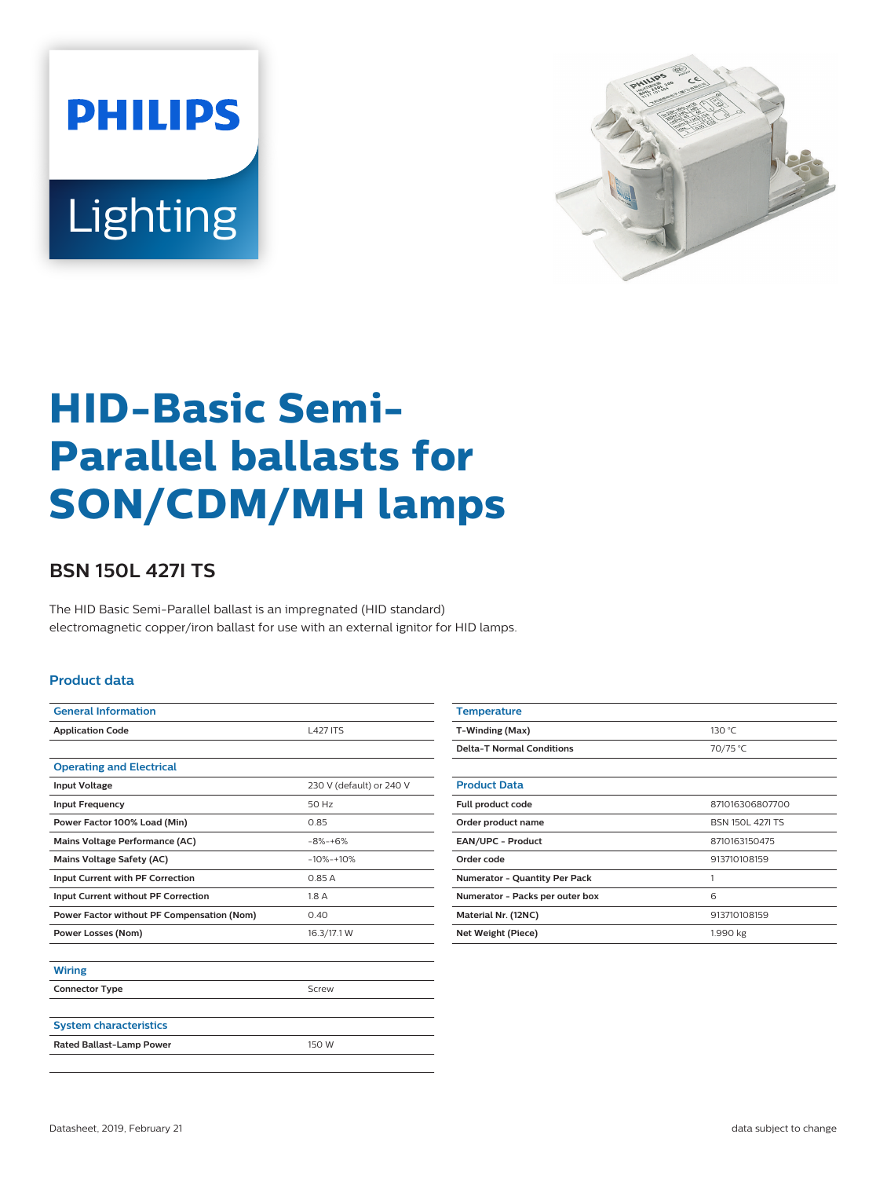



# **HID-Basic Semi-Parallel ballasts for SON/CDM/MH lamps**

## **BSN 150L 427I TS**

The HID Basic Semi-Parallel ballast is an impregnated (HID standard) electromagnetic copper/iron ballast for use with an external ignitor for HID lamps.

#### **Product data**

| <b>General Information</b>                 |                          |  |  |
|--------------------------------------------|--------------------------|--|--|
| <b>Application Code</b>                    | <b>L427 ITS</b>          |  |  |
|                                            |                          |  |  |
| <b>Operating and Electrical</b>            |                          |  |  |
| <b>Input Voltage</b>                       | 230 V (default) or 240 V |  |  |
| <b>Input Frequency</b>                     | 50 Hz                    |  |  |
| Power Factor 100% Load (Min)               | 0.85                     |  |  |
| Mains Voltage Performance (AC)             | $-8% -+6%$               |  |  |
| <b>Mains Voltage Safety (AC)</b>           | $-10% -10%$              |  |  |
| Input Current with PF Correction           | 0.85A                    |  |  |
| Input Current without PF Correction        | 1.8 A                    |  |  |
| Power Factor without PF Compensation (Nom) | 0.40                     |  |  |
| <b>Power Losses (Nom)</b>                  | 16.3/17.1 W              |  |  |
|                                            |                          |  |  |
| <b>Wiring</b>                              |                          |  |  |
| <b>Connector Type</b>                      | Screw                    |  |  |
|                                            |                          |  |  |
| <b>System characteristics</b>              |                          |  |  |
| <b>Rated Ballast-Lamp Power</b>            | 150 W                    |  |  |

| <b>Temperature</b>                   |                         |  |  |
|--------------------------------------|-------------------------|--|--|
| T-Winding (Max)                      | 130 °C                  |  |  |
| <b>Delta-T Normal Conditions</b>     | 70/75 °C                |  |  |
|                                      |                         |  |  |
| <b>Product Data</b>                  |                         |  |  |
| Full product code                    | 871016306807700         |  |  |
| Order product name                   | <b>BSN 150L 427I TS</b> |  |  |
| <b>EAN/UPC - Product</b>             | 8710163150475           |  |  |
| Order code                           | 913710108159            |  |  |
| <b>Numerator - Quantity Per Pack</b> | 1                       |  |  |
| Numerator - Packs per outer box      | 6                       |  |  |
| Material Nr. (12NC)                  | 913710108159            |  |  |
| 1.990 kg<br>Net Weight (Piece)       |                         |  |  |
|                                      |                         |  |  |